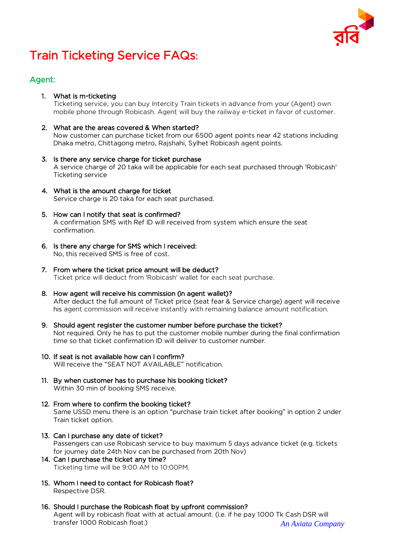

# Train Ticketing Service FAQs:

## Agent:

1. What is m-ticketing

Ticketing service, you can buy Intercity Train tickets in advance from your (Agent) own mobile phone through Robicash. Agent will buy the railway e-ticket in favor of customer.

2. What are the areas covered & When started?

Now customer can purchase ticket from our 6500 agent points near 42 stations including Dhaka metro, Chittagong metro, Rajshahi, Sylhet Robicash agent points.

- 3. Is there any service charge for ticket purchase A service charge of 20 taka will be applicable for each seat purchased through 'Robicash' Ticketing service
- 4. What is the amount charge for ticket Service charge is 20 taka for each seat purchased.
- 5. How can I notify that seat is confirmed? A confirmation SMS with Ref ID will received from system which ensure the seat confirmation.
- 6. Is there any charge for SMS which I received: No, this received SMS is free of cost.
- 7. From where the ticket price amount will be deduct? Ticket price will deduct from 'Robicash' wallet for each seat purchase.
- 8. How agent will receive his commission (in agent wallet)? After deduct the full amount of Ticket price (seat fear & Service charge) agent will receive his agent commission will receive instantly with remaining balance amount notification.
- 9. Should agent register the customer number before purchase the ticket? Not required. Only he has to put the customer mobile number during the final confirmation time so that ticket confirmation ID will deliver to customer number.
- 10. If seat is not available how can I confirm? Will receive the "SEAT NOT AVAILABLE" notification.
- 11. By when customer has to purchase his booking ticket? Within 30 min of booking SMS receive.
- 12. From where to confirm the booking ticket? Same USSD menu there is an option "purchase train ticket after booking" in option 2 under Train ticket option.
- 13. Can I purchase any date of ticket? Passengers can use Robicash service to buy maximum 5 days advance ticket (e.g. tickets for journey date 24th Nov can be purchased from 20th Nov) 14. Can I purchase the ticket any time?

Ticketing time will be 9:00 AM to 10:00PM.

- 15. Whom I need to contact for Robicash float? Respective DSR.
- *An Axiata Company* 16. Should I purchase the Robicash float by upfront commission? Agent will by robicash float with at actual amount. (i.e. if he pay 1000 Tk Cash DSR will transfer 1000 Robicash float.)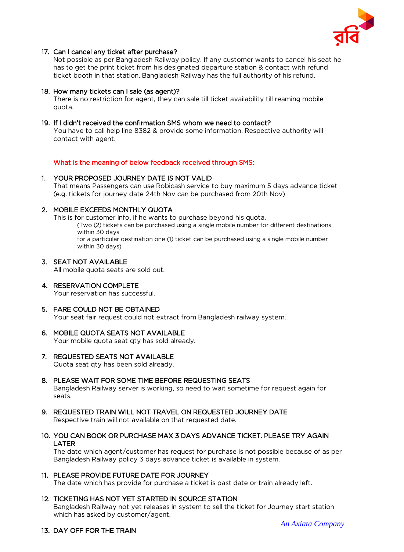

#### 17. Can I cancel any ticket after purchase?

Not possible as per Bangladesh Railway policy. If any customer wants to cancel his seat he has to get the print ticket from his designated departure station & contact with refund ticket booth in that station. Bangladesh Railway has the full authority of his refund.

#### 18. How many tickets can I sale (as agent)?

There is no restriction for agent, they can sale till ticket availability till reaming mobile quota.

#### 19. If I didn't received the confirmation SMS whom we need to contact?

You have to call help line 8382 & provide some information. Respective authority will contact with agent.

What is the meaning of below feedback received through SMS:

#### 1. YOUR PROPOSED JOURNEY DATE IS NOT VALID

That means Passengers can use Robicash service to buy maximum 5 days advance ticket (e.g. tickets for journey date 24th Nov can be purchased from 20th Nov)

#### 2. MOBILE EXCEEDS MONTHLY QUOTA

This is for customer info, if he wants to purchase beyond his quota. (Two (2) tickets can be purchased using a single mobile number for different destinations within 30 days for a particular destination one (1) ticket can be purchased using a single mobile number within 30 days)

#### 3. SEAT NOT AVAILABLE

All mobile quota seats are sold out.

- 4. RESERVATION COMPLETE Your reservation has successful.
- 5. FARE COULD NOT BE OBTAINED

Your seat fair request could not extract from Bangladesh railway system.

#### 6. MOBILE QUOTA SEATS NOT AVAILABLE

Your mobile quota seat qty has sold already.

- 7. REQUESTED SEATS NOT AVAILABLE Quota seat qty has been sold already.
- 8. PLEASE WAIT FOR SOME TIME BEFORE REQUESTING SEATS

Bangladesh Railway server is working, so need to wait sometime for request again for seats.

- 9. REQUESTED TRAIN WILL NOT TRAVEL ON REQUESTED JOURNEY DATE Respective train will not available on that requested date.
- 10. YOU CAN BOOK OR PURCHASE MAX 3 DAYS ADVANCE TICKET. PLEASE TRY AGAIN LATER

The date which agent/customer has request for purchase is not possible because of as per Bangladesh Railway policy 3 days advance ticket is available in system.

#### 11. PLEASE PROVIDE FUTURE DATE FOR JOURNEY

The date which has provide for purchase a ticket is past date or train already left.

#### 12. TICKETING HAS NOT YET STARTED IN SOURCE STATION

Bangladesh Railway not yet releases in system to sell the ticket for Journey start station which has asked by customer/agent.

#### 13. DAY OFF FOR THE TRAIN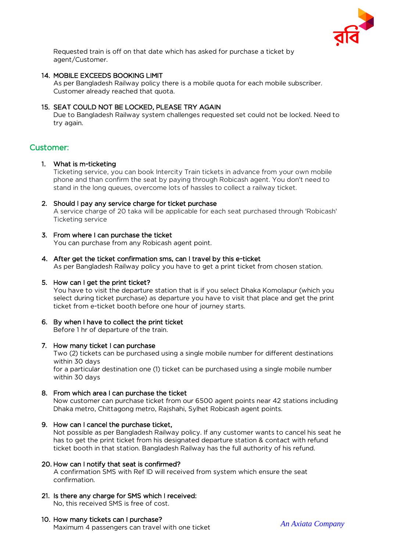

Requested train is off on that date which has asked for purchase a ticket by agent/Customer.

#### 14. MOBILE EXCEEDS BOOKING LIMIT

As per Bangladesh Railway policy there is a mobile quota for each mobile subscriber. Customer already reached that quota.

#### 15. SEAT COULD NOT BE LOCKED, PLEASE TRY AGAIN

Due to Bangladesh Railway system challenges requested set could not be locked. Need to try again.

### Customer:

#### 1. What is m-ticketing

Ticketing service, you can book Intercity Train tickets in advance from your own mobile phone and than confirm the seat by paying through Robicash agent. You don't need to stand in the long queues, overcome lots of hassles to collect a railway ticket.

#### 2. Should I pay any service charge for ticket purchase

A service charge of 20 taka will be applicable for each seat purchased through 'Robicash' Ticketing service

#### 3. From where I can purchase the ticket

You can purchase from any Robicash agent point.

4. After get the ticket confirmation sms, can I travel by this e-ticket

As per Bangladesh Railway policy you have to get a print ticket from chosen station.

#### 5. How can I get the print ticket?

You have to visit the departure station that is if you select Dhaka Komolapur (which you select during ticket purchase) as departure you have to visit that place and get the print ticket from e-ticket booth before one hour of journey starts.

# 6. By when I have to collect the print ticket

Before 1 hr of departure of the train.

#### 7. How many ticket I can purchase

Two (2) tickets can be purchased using a single mobile number for different destinations within 30 days

for a particular destination one (1) ticket can be purchased using a single mobile number within 30 days

#### 8. From which area I can purchase the ticket

Now customer can purchase ticket from our 6500 agent points near 42 stations including Dhaka metro, Chittagong metro, Rajshahi, Sylhet Robicash agent points.

#### 9. How can I cancel the purchase ticket,

Not possible as per Bangladesh Railway policy. If any customer wants to cancel his seat he has to get the print ticket from his designated departure station & contact with refund ticket booth in that station. Bangladesh Railway has the full authority of his refund.

#### 20. How can I notify that seat is confirmed?

A confirmation SMS with Ref ID will received from system which ensure the seat confirmation.

21. Is there any charge for SMS which I received: No, this received SMS is free of cost.

#### 10. How many tickets can I purchase?

Maximum 4 passengers can travel with one ticket